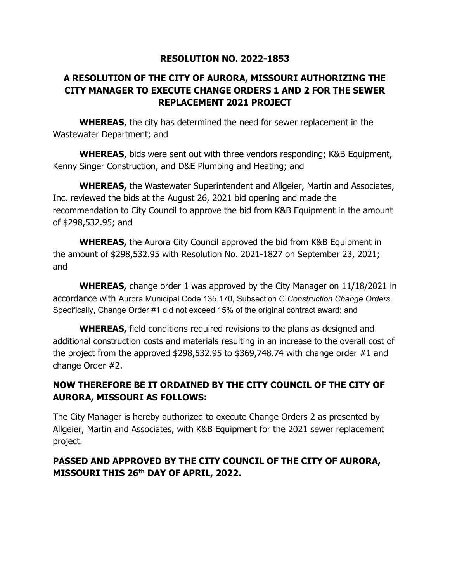## **RESOLUTION NO. 2022-1853**

## **A RESOLUTION OF THE CITY OF AURORA, MISSOURI AUTHORIZING THE CITY MANAGER TO EXECUTE CHANGE ORDERS 1 AND 2 FOR THE SEWER REPLACEMENT 2021 PROJECT**

**WHEREAS**, the city has determined the need for sewer replacement in the Wastewater Department; and

**WHEREAS**, bids were sent out with three vendors responding; K&B Equipment, Kenny Singer Construction, and D&E Plumbing and Heating; and

**WHEREAS,** the Wastewater Superintendent and Allgeier, Martin and Associates, Inc. reviewed the bids at the August 26, 2021 bid opening and made the recommendation to City Council to approve the bid from K&B Equipment in the amount of \$298,532.95; and

**WHEREAS,** the Aurora City Council approved the bid from K&B Equipment in the amount of \$298,532.95 with Resolution No. 2021-1827 on September 23, 2021; and

**WHEREAS,** change order 1 was approved by the City Manager on 11/18/2021 in accordance with Aurora Municipal Code 135.170, Subsection C *Construction Change Orders*. Specifically, Change Order #1 did not exceed 15% of the original contract award; and

**WHEREAS,** field conditions required revisions to the plans as designed and additional construction costs and materials resulting in an increase to the overall cost of the project from the approved \$298,532.95 to \$369,748.74 with change order #1 and change Order #2.

## **NOW THEREFORE BE IT ORDAINED BY THE CITY COUNCIL OF THE CITY OF AURORA, MISSOURI AS FOLLOWS:**

The City Manager is hereby authorized to execute Change Orders 2 as presented by Allgeier, Martin and Associates, with K&B Equipment for the 2021 sewer replacement project.

## **PASSED AND APPROVED BY THE CITY COUNCIL OF THE CITY OF AURORA, MISSOURI THIS 26th DAY OF APRIL, 2022.**